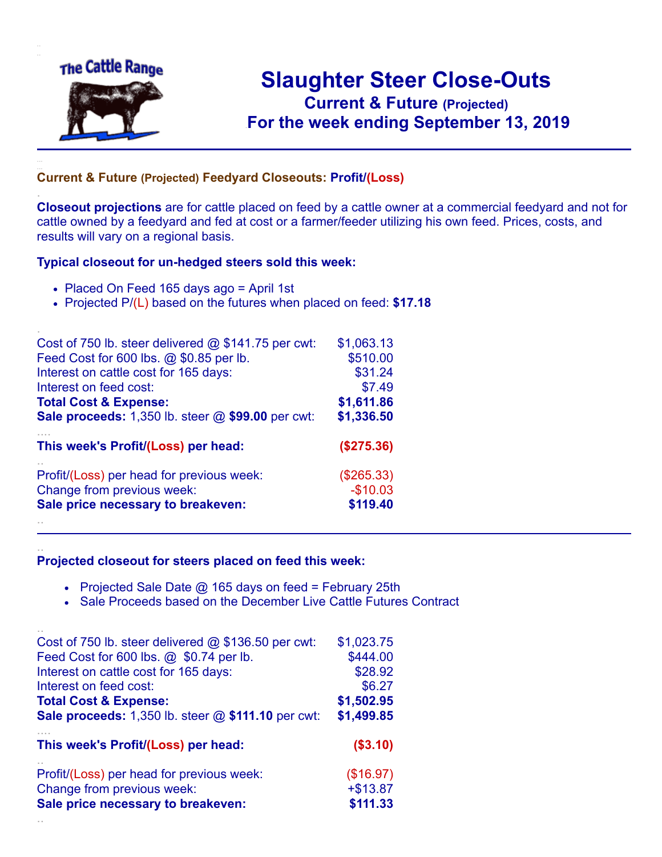

.

..

# **Slaughter Steer Close-Outs Current & Future (Projected)** .**For the week ending September 13, 2019**

### **Current & Future (Projected) Feedyard Closeouts: Profit/(Loss)**

**Closeout projections** are for cattle placed on feed by a cattle owner at a commercial feedyard and not for cattle owned by a feedyard and fed at cost or a farmer/feeder utilizing his own feed. Prices, costs, and results will vary on a regional basis.

#### **Typical closeout for un-hedged steers sold this week:**

- Placed On Feed 165 days ago = April 1st
- Projected P/(L) based on the futures when placed on feed: **\$17.18**

| Cost of 750 lb. steer delivered $@$ \$141.75 per cwt: | \$1,063.13 |
|-------------------------------------------------------|------------|
| Feed Cost for 600 lbs. @ \$0.85 per lb.               | \$510.00   |
| Interest on cattle cost for 165 days:                 | \$31.24    |
| Interest on feed cost:                                | \$7.49     |
| <b>Total Cost &amp; Expense:</b>                      | \$1,611.86 |
| Sale proceeds: 1,350 lb. steer @ \$99.00 per cwt:     | \$1,336.50 |
| This week's Profit/(Loss) per head:                   | (\$275.36) |
| Profit/(Loss) per head for previous week:             | (\$265.33) |
| Change from previous week:                            | $-$10.03$  |
| Sale price necessary to breakeven:                    | \$119.40   |
|                                                       |            |

#### **Projected closeout for steers placed on feed this week:**

- Projected Sale Date  $@$  165 days on feed = February 25th
- Sale Proceeds based on the December Live Cattle Futures Contract

| Cost of 750 lb. steer delivered $@$ \$136.50 per cwt:                   | \$1,023.75              |
|-------------------------------------------------------------------------|-------------------------|
| Feed Cost for 600 lbs. @ \$0.74 per lb.                                 | \$444.00                |
| Interest on cattle cost for 165 days:                                   | \$28.92                 |
| Interest on feed cost:                                                  | \$6.27                  |
| <b>Total Cost &amp; Expense:</b>                                        | \$1,502.95              |
| <b>Sale proceeds:</b> 1,350 lb. steer $@$ \$111.10 per cwt:             | \$1,499.85              |
| This week's Profit/(Loss) per head:                                     | (\$3.10)                |
|                                                                         |                         |
|                                                                         |                         |
| Profit/(Loss) per head for previous week:<br>Change from previous week: | (\$16.97)<br>$+ $13.87$ |
| Sale price necessary to breakeven:                                      | \$111.33                |